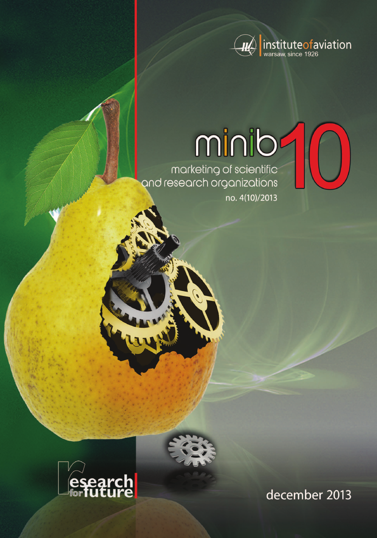

# minib

marketing of scientific<br>and research organizations no. 4(10)/2013





december 2013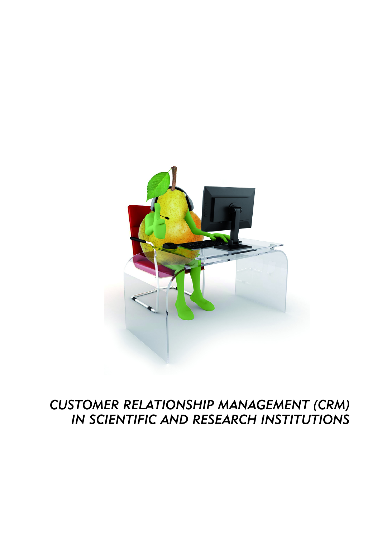

# *CUSTOMER RELATIONSHIP MANAGEMENT (CRM) IN SCIENTIFIC AND RESEARCH INSTITUTIONS*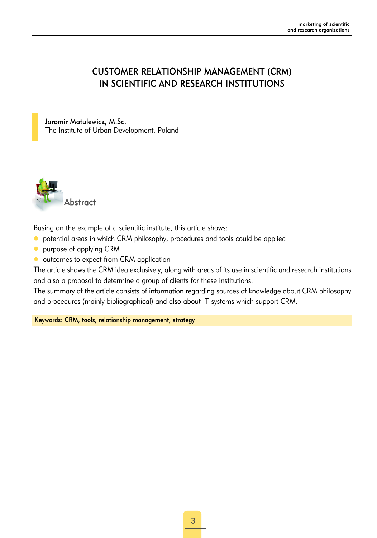#### CUSTOMER RELATIONSHIP MANAGEMENT (CRM) IN SCIENTIFIC AND RESEARCH INSTITUTIONS

#### Jaromir Matulewicz, M.Sc.

The Institute of Urban Development, Poland



Basing on the example of a scientific institute, this article shows:

- o potential areas in which CRM philosophy, procedures and tools could be applied
- **•** purpose of applying CRM
- outcomes to expect from CRM application

The article shows the CRM idea exclusively, along with areas of its use in scientific and research institutions and also a proposal to determine a group of clients for these institutions.

The summary of the article consists of information regarding sources of knowledge about CRM philosophy and procedures (mainly bibliographical) and also about IT systems which support CRM.

Keywords: CRM, tools, relationship management, strategy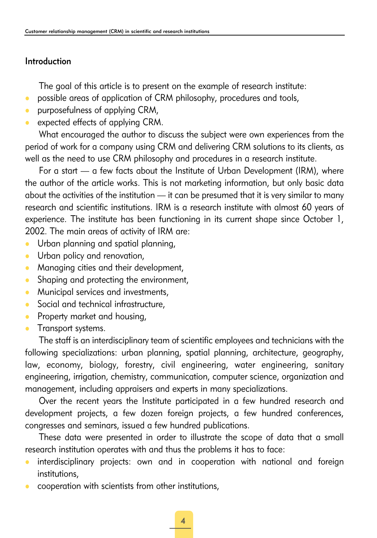#### Introduction

The goal of this article is to present on the example of research institute:

- possible areas of application of CRM philosophy, procedures and tools,
- $\bullet$  purposefulness of applying CRM,
- $\bullet$  expected effects of applying CRM.

What encouraged the author to discuss the subject were own experiences from the period of work for a company using CRM and delivering CRM solutions to its clients, as well as the need to use CRM philosophy and procedures in a research institute.

For a start — a few facts about the Institute of Urban Development (IRM), where the author of the article works. This is not marketing information, but only basic data about the activities of the institution — it can be presumed that it is very similar to many research and scientific institutions. IRM is a research institute with almost 60 years of experience. The institute has been functioning in its current shape since October 1, 2002. The main areas of activity of IRM are:

- Urban planning and spatial planning,
- Urban policy and renovation,
- Managing cities and their development,
- Shaping and protecting the environment,
- Municipal services and investments,
- Social and technical infrastructure,
- Property market and housing,
- Transport systems.

The staff is an interdisciplinary team of scientific employees and technicians with the following specializations: urban planning, spatial planning, architecture, geography, law, economy, biology, forestry, civil engineering, water engineering, sanitary engineering, irrigation, chemistry, communication, computer science, organization and management, including appraisers and experts in many specializations.

Over the recent years the Institute participated in a few hundred research and development projects, a few dozen foreign projects, a few hundred conferences, congresses and seminars, issued a few hundred publications.

These data were presented in order to illustrate the scope of data that a small research institution operates with and thus the problems it has to face:

- interdisciplinary projects: own and in cooperation with national and foreign institutions,
- z cooperation with scientists from other institutions,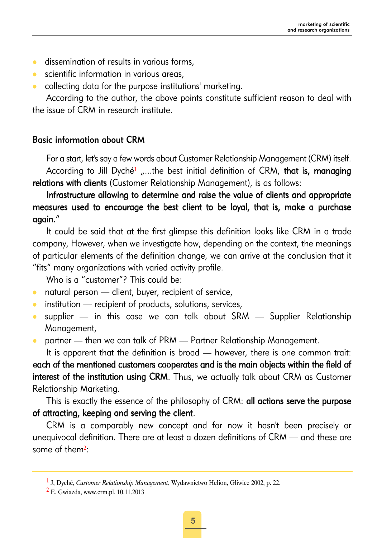- **•** dissemination of results in various forms,
- scientific information in various areas,
- collecting data for the purpose institutions' marketing.

According to the author, the above points constitute sufficient reason to deal with the issue of CRM in research institute.

#### Basic information about CRM

For a start, let's say a few words about Customer Relationship Management (CRM) itself. According to Jill Dyché<sup>1</sup> ....the best initial definition of CRM, that is, managing relations with clients (Customer Relationship Management), is as follows:

## Infrastructure allowing to determine and raise the value of clients and appropriate measures used to encourage the best client to be loyal, that is, make a purchase again."

It could be said that at the first glimpse this definition looks like CRM in a trade company, However, when we investigate how, depending on the context, the meanings of particular elements of the definition change, we can arrive at the conclusion that it "fits" many organizations with varied activity profile.

Who is a "customer"? This could be:

- $\bullet$  natural person client, buyer, recipient of service,
- $\bullet$  institution recipient of products, solutions, services,
- $\bullet$  supplier in this case we can talk about SRM Supplier Relationship Management,
- partner then we can talk of PRM Partner Relationship Management.

It is apparent that the definition is broad — however, there is one common trait:

each of the mentioned customers cooperates and is the main objects within the field of interest of the institution using CRM. Thus, we actually talk about CRM as Customer Relationship Marketing.

This is exactly the essence of the philosophy of CRM: all actions serve the purpose of attracting, keeping and serving the client.

CRM is a comparably new concept and for now it hasn't been precisely or unequivocal definition. There are at least a dozen definitions of CRM — and these are some of them<sup>2</sup>:

<sup>1</sup> J, Dyché, *Customer Relationship Management*, Wydawnictwo Helion, Gliwice 2002, p. 22.

<sup>2</sup> E. Gwiazda, www.crm.pl, 10.11.2013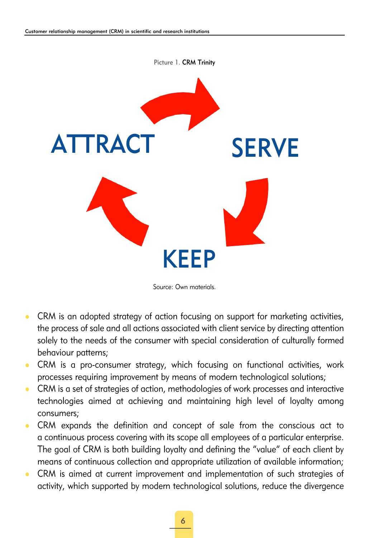

Source: Own materials.

- CRM is an adopted strategy of action focusing on support for marketing activities, the process of sale and all actions associated with client service by directing attention solely to the needs of the consumer with special consideration of culturally formed behaviour patterns;
- CRM is a pro-consumer strategy, which focusing on functional activities, work processes requiring improvement by means of modern technological solutions;
- CRM is a set of strategies of action, methodologies of work processes and interactive technologies aimed at achieving and maintaining high level of loyalty among consumers;
- CRM expands the definition and concept of sale from the conscious act to a continuous process covering with its scope all employees of a particular enterprise. The goal of CRM is both building loyalty and defining the "value" of each client by means of continuous collection and appropriate utilization of available information;
- CRM is aimed at current improvement and implementation of such strategies of activity, which supported by modern technological solutions, reduce the divergence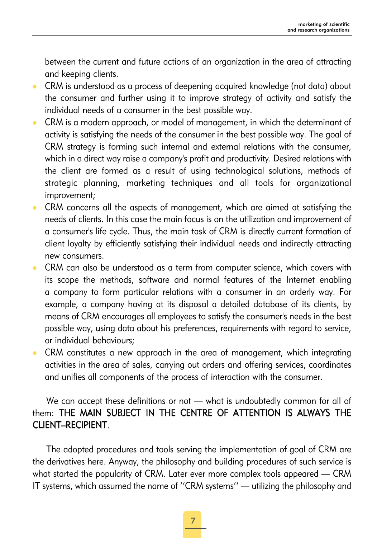between the current and future actions of an organization in the area of attracting and keeping clients.

- CRM is understood as a process of deepening acquired knowledge (not data) about the consumer and further using it to improve strategy of activity and satisfy the individual needs of a consumer in the best possible way.
- CRM is a modern approach, or model of management, in which the determinant of activity is satisfying the needs of the consumer in the best possible way. The goal of CRM strategy is forming such internal and external relations with the consumer, which in a direct way raise a company's profit and productivity. Desired relations with the client are formed as a result of using technological solutions, methods of strategic planning, marketing techniques and all tools for organizational improvement;
- CRM concerns all the aspects of management, which are aimed at satisfying the needs of clients. In this case the main focus is on the utilization and improvement of a consumer's life cycle. Thus, the main task of CRM is directly current formation of client loyalty by efficiently satisfying their individual needs and indirectly attracting new consumers.
- CRM can also be understood as a term from computer science, which covers with its scope the methods, software and normal features of the Internet enabling a company to form particular relations with a consumer in an orderly way. For example, a company having at its disposal a detailed database of its clients, by means of CRM encourages all employees to satisfy the consumer's needs in the best possible way, using data about his preferences, requirements with regard to service, or individual behaviours;
- CRM constitutes a new approach in the area of management, which integrating activities in the area of sales, carrying out orders and offering services, coordinates and unifies all components of the process of interaction with the consumer.

## We can accept these definitions or not — what is undoubtedly common for all of them: THE MAIN SUBJECT IN THE CENTRE OF ATTENTION IS ALWAYS THE CLIENT–RECIPIENT.

The adopted procedures and tools serving the implementation of goal of CRM are the derivatives here. Anyway, the philosophy and building procedures of such service is what started the popularity of CRM. Later ever more complex tools appeared – CRM IT systems, which assumed the name of ''CRM systems'' — utilizing the philosophy and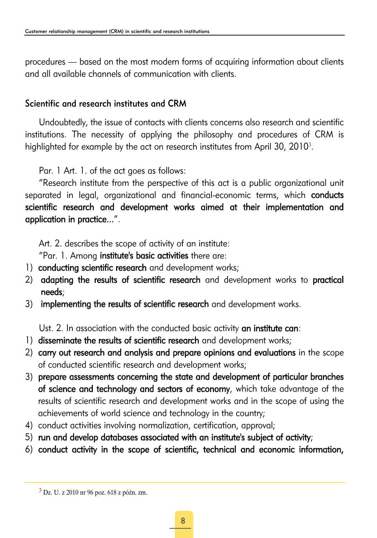procedures — based on the most modern forms of acquiring information about clients and all available channels of communication with clients.

# Scientific and research institutes and CRM

Undoubtedly, the issue of contacts with clients concerns also research and scientific institutions. The necessity of applying the philosophy and procedures of CRM is highlighted for example by the act on research institutes from April 30,  $2010<sup>3</sup>$ .

Par. 1 Art. 1. of the act goes as follows:

"Research institute from the perspective of this act is a public organizational unit separated in legal, organizational and financial-economic terms, which **conducts** scientific research and development works aimed at their implementation and application in practice...".

Art. 2. describes the scope of activity of an institute:

"Par. 1. Among institute's basic activities there are:

- 1) conducting scientific research and development works;
- 2) adapting the results of scientific research and development works to practical needs;
- 3) implementing the results of scientific research and development works.

Ust. 2. In association with the conducted basic activity an institute can:

- 1) disseminate the results of scientific research and development works;
- 2) carry out research and analysis and prepare opinions and evaluations in the scope of conducted scientific research and development works;
- 3) prepare assessments concerning the state and development of particular branches of science and technology and sectors of economy, which take advantage of the results of scientific research and development works and in the scope of using the achievements of world science and technology in the country;
- 4) conduct activities involving normalization, certification, approval;
- 5) run and develop databases associated with an institute's subject of activity;
- 6) conduct activity in the scope of scientific, technical and economic information,

<sup>3</sup> Dz. U. z 2010 nr 96 poz. 618 z późn. zm.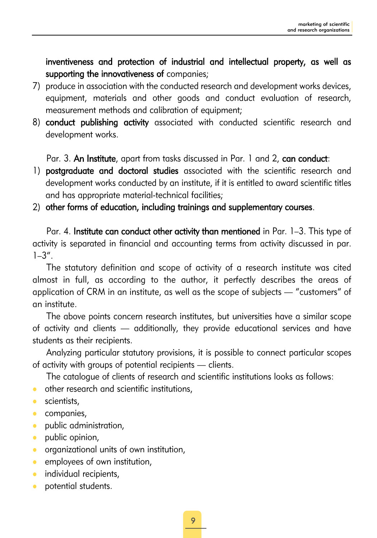inventiveness and protection of industrial and intellectual property, as well as supporting the innovativeness of companies;

- 7) produce in association with the conducted research and development works devices, equipment, materials and other goods and conduct evaluation of research, measurement methods and calibration of equipment;
- 8) conduct publishing activity associated with conducted scientific research and development works.

Par. 3. An Institute, apart from tasks discussed in Par. 1 and 2, can conduct:

1) postgraduate and doctoral studies associated with the scientific research and development works conducted by an institute, if it is entitled to award scientific titles and has appropriate material-technical facilities;

#### 2) other forms of education, including trainings and supplementary courses.

Par. 4. Institute can conduct other activity than mentioned in Par. 1-3. This type of activity is separated in financial and accounting terms from activity discussed in par.  $1-3''$ .

The statutory definition and scope of activity of a research institute was cited almost in full, as according to the author, it perfectly describes the areas of application of CRM in an institute, as well as the scope of subjects — "customers" of an institute.

The above points concern research institutes, but universities have a similar scope of activity and clients — additionally, they provide educational services and have students as their recipients.

Analyzing particular statutory provisions, it is possible to connect particular scopes of activity with groups of potential recipients — clients.

The catalogue of clients of research and scientific institutions looks as follows:

- $\bullet$  other research and scientific institutions,
- $\bullet$  scientists,
- $\bullet$  companies,
- **•** public administration,
- $\bullet$  public opinion,
- **•** organizational units of own institution,
- $\bullet$  employees of own institution,
- **•** individual recipients,
- **•** potential students.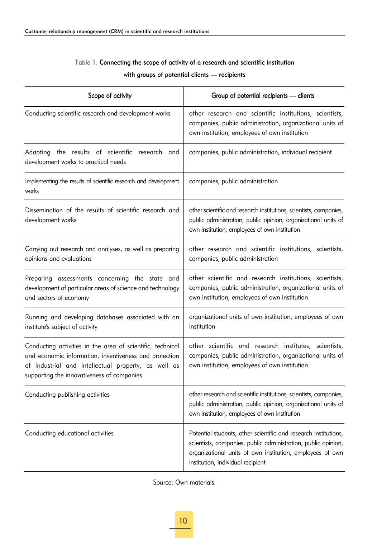#### Table 1. Connecting the scope of activity of a research and scientific institution

| Scope of activity                                                                                                                                                                                                         | Group of potential recipients - clients                                                                                                                                                                                            |
|---------------------------------------------------------------------------------------------------------------------------------------------------------------------------------------------------------------------------|------------------------------------------------------------------------------------------------------------------------------------------------------------------------------------------------------------------------------------|
| Conducting scientific research and development works                                                                                                                                                                      | other research and scientific institutions, scientists,<br>companies, public administration, organizational units of<br>own institution, employees of own institution                                                              |
| Adapting the results of scientific research and<br>development works to practical needs                                                                                                                                   | companies, public administration, individual recipient                                                                                                                                                                             |
| Implementing the results of scientific research and development<br>works                                                                                                                                                  | companies, public administration                                                                                                                                                                                                   |
| Dissemination of the results of scientific research and<br>development works                                                                                                                                              | other scientific and research institutions, scientists, companies,<br>public administration, public opinion, organizational units of<br>own institution, employees of own institution                                              |
| Carrying out research and analyses, as well as preparing<br>opinions and evaluations                                                                                                                                      | other research and scientific institutions, scientists,<br>companies, public administration                                                                                                                                        |
| Preparing assessments concerning the state and<br>development of particular areas of science and technology<br>and sectors of economy                                                                                     | other scientific and research institutions, scientists,<br>companies, public administration, organizational units of<br>own institution, employees of own institution                                                              |
| Running and developing databases associated with an<br>institute's subject of activity                                                                                                                                    | organizational units of own institution, employees of own<br>institution                                                                                                                                                           |
| Conducting activities in the area of scientific, technical<br>and economic information, inventiveness and protection<br>of industrial and intellectual property, as well as<br>supporting the innovativeness of companies | other scientific and research institutes, scientists,<br>companies, public administration, organizational units of<br>own institution, employees of own institution                                                                |
| Conducting publishing activities                                                                                                                                                                                          | other research and scientific institutions, scientists, companies,<br>public administration, public opinion, organizational units of<br>own institution, employees of own institution                                              |
| Conducting educational activities                                                                                                                                                                                         | Potential students, other scientific and research institutions,<br>scientists, companies, public administration, public opinion,<br>organizational units of own institution, employees of own<br>institution, individual recipient |

#### with groups of potential clients — recipients

Source: Own materials.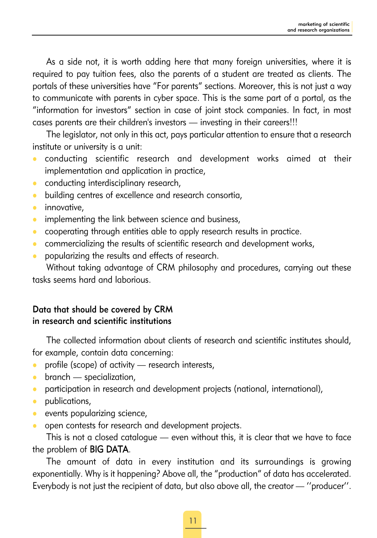As a side not, it is worth adding here that many foreign universities, where it is required to pay tuition fees, also the parents of a student are treated as clients. The portals of these universities have "For parents" sections. Moreover, this is not just a way to communicate with parents in cyber space. This is the same part of a portal, as the "information for investors" section in case of joint stock companies. In fact, in most cases parents are their children's investors — investing in their careers!!!

The legislator, not only in this act, pays particular attention to ensure that a research institute or university is a unit:

- conducting scientific research and development works aimed at their implementation and application in practice,
- conducting interdisciplinary research,
- building centres of excellence and research consortia,
- $\bullet$  innovative,
- $\bullet$  implementing the link between science and business,
- cooperating through entities able to apply research results in practice.
- commercializing the results of scientific research and development works,
- popularizing the results and effects of research.

Without taking advantage of CRM philosophy and procedures, carrying out these tasks seems hard and laborious.

#### Data that should be covered by CRM in research and scientific institutions

The collected information about clients of research and scientific institutes should, for example, contain data concerning:

- profile (scope) of activity  $-$  research interests,
- $\bullet$  branch specialization,
- participation in research and development projects (national, international),
- publications,
- $\bullet$  events popularizing science,
- open contests for research and development projects.

This is not a closed catalogue — even without this, it is clear that we have to face the problem of BIG DATA.

The amount of data in every institution and its surroundings is growing exponentially. Why is it happening? Above all, the "production" of data has accelerated. Everybody is not just the recipient of data, but also above all, the creator — ''producer''.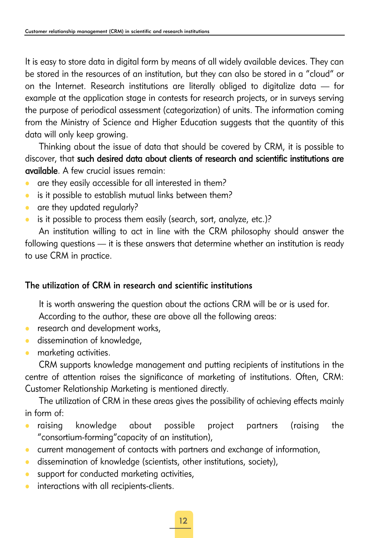It is easy to store data in digital form by means of all widely available devices. They can be stored in the resources of an institution, but they can also be stored in a "cloud" or on the Internet. Research institutions are literally obliged to digitalize data — for example at the application stage in contests for research projects, or in surveys serving the purpose of periodical assessment (categorization) of units. The information coming from the Ministry of Science and Higher Education suggests that the quantity of this data will only keep growing.

Thinking about the issue of data that should be covered by CRM, it is possible to discover, that such desired data about clients of research and scientific institutions are available. A few crucial issues remain:

- are they easily accessible for all interested in them?
- $\bullet$  is it possible to establish mutual links between them?
- are they updated regularly?
- is it possible to process them easily (search, sort, analyze, etc.)?

An institution willing to act in line with the CRM philosophy should answer the following questions — it is these answers that determine whether an institution is ready to use CRM in practice.

### The utilization of CRM in research and scientific institutions

It is worth answering the question about the actions CRM will be or is used for. According to the author, these are above all the following areas:

- $\bullet$  research and development works,
- **•** dissemination of knowledge,
- **•** marketing activities.

CRM supports knowledge management and putting recipients of institutions in the centre of attention raises the significance of marketing of institutions. Often, CRM: Customer Relationship Marketing is mentioned directly.

The utilization of CRM in these areas gives the possibility of achieving effects mainly in form of:

- raising knowledge about possible project partners (raising the "consortium-forming"capacity of an institution),
- current management of contacts with partners and exchange of information,
- $\bullet$  dissemination of knowledge (scientists, other institutions, society),
- $\bullet$  support for conducted marketing activities,
- **•** interactions with all recipients-clients.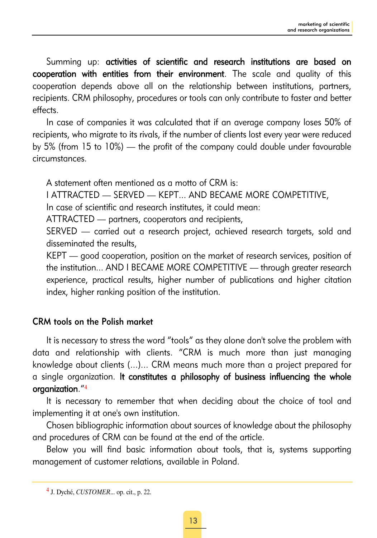Summing up: activities of scientific and research institutions are based on cooperation with entities from their environment. The scale and quality of this cooperation depends above all on the relationship between institutions, partners, recipients. CRM philosophy, procedures or tools can only contribute to faster and better effects.

In case of companies it was calculated that if an average company loses 50% of recipients, who migrate to its rivals, if the number of clients lost every year were reduced by 5% (from 15 to 10%) — the profit of the company could double under favourable circumstances.

A statement often mentioned as a motto of CRM is:

I ATTRACTED — SERVED — KEPT... AND BECAME MORE COMPETITIVE,

In case of scientific and research institutes, it could mean:

ATTRACTED — partners, cooperators and recipients,

SERVED - carried out a research project, achieved research targets, sold and disseminated the results,

KEPT — good cooperation, position on the market of research services, position of the institution... AND I BECAME MORE COMPETITIVE — through greater research experience, practical results, higher number of publications and higher citation index, higher ranking position of the institution.

#### CRM tools on the Polish market

It is necessary to stress the word "tools" as they alone don't solve the problem with data and relationship with clients. "CRM is much more than just managing knowledge about clients (...)... CRM means much more than a project prepared for a single organization. It constitutes a philosophy of business influencing the whole organization."<sup>4</sup>

It is necessary to remember that when deciding about the choice of tool and implementing it at one's own institution.

Chosen bibliographic information about sources of knowledge about the philosophy and procedures of CRM can be found at the end of the article.

Below you will find basic information about tools, that is, systems supporting management of customer relations, available in Poland.

<sup>4</sup> J. Dyché, *CUSTOMER*... op. cit., p. 22.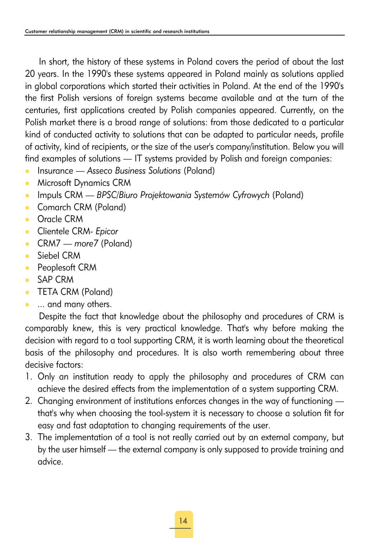In short, the history of these systems in Poland covers the period of about the last 20 years. In the 1990's these systems appeared in Poland mainly as solutions applied in global corporations which started their activities in Poland. At the end of the 1990's the first Polish versions of foreign systems became available and at the turn of the centuries, first applications created by Polish companies appeared. Currently, on the Polish market there is a broad range of solutions: from those dedicated to a particular kind of conducted activity to solutions that can be adapted to particular needs, profile of activity, kind of recipients, or the size of the user's company/institution. Below you will find examples of solutions — IT systems provided by Polish and foreign companies:

- **•** Insurance *Asseco Business Solutions* (Poland)
- Microsoft Dynamics CRM
- **Impuls CRM** *BPSC/Biuro Projektowania Systemów Cyfrowych* **(Poland)**
- Comarch CRM (Poland)
- Oracle CRM
- **c** Clientele CRM- *Epicor*
- z CRM7 *more7* (Poland)
- Siebel CRM
- Peoplesoft CRM
- z SAP CRM
- TETA CRM (Poland)
- ... and many others.

Despite the fact that knowledge about the philosophy and procedures of CRM is comparably knew, this is very practical knowledge. That's why before making the decision with regard to a tool supporting CRM, it is worth learning about the theoretical basis of the philosophy and procedures. It is also worth remembering about three decisive factors:

- 1. Only an institution ready to apply the philosophy and procedures of CRM can achieve the desired effects from the implementation of a system supporting CRM.
- 2. Changing environment of institutions enforces changes in the way of functioning that's why when choosing the tool-system it is necessary to choose a solution fit for easy and fast adaptation to changing requirements of the user.
- 3. The implementation of a tool is not really carried out by an external company, but by the user himself — the external company is only supposed to provide training and advice.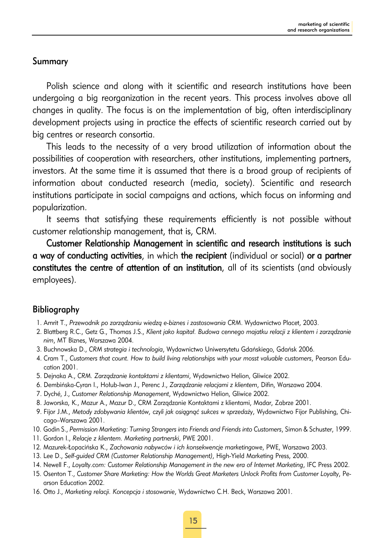#### Summary

Polish science and along with it scientific and research institutions have been undergoing a big reorganization in the recent years. This process involves above all changes in quality. The focus is on the implementation of big, often interdisciplinary development projects using in practice the effects of scientific research carried out by big centres or research consortia.

This leads to the necessity of a very broad utilization of information about the possibilities of cooperation with researchers, other institutions, implementing partners, investors. At the same time it is assumed that there is a broad group of recipients of information about conducted research (media, society). Scientific and research institutions participate in social campaigns and actions, which focus on informing and popularization.

It seems that satisfying these requirements efficiently is not possible without customer relationship management, that is, CRM.

Customer Relationship Management in scientific and research institutions is such a way of conducting activities, in which the recipient (individual or social) or a partner constitutes the centre of attention of an institution, all of its scientists (and obviously employees).

#### Bibliography

- 1. Amrit T., *Przewodnik po zarządzaniu wiedzą e-biznes i zastosowania CRM*. Wydawnictwo Placet, 2003.
- 2. Blattberg R.C., Getz G., Thomas J.S., *Klient jako kapitał. Budowa cennego majatku relacji z klientem i zarządzanie nim*, MT Biznes, Warszawa 2004.
- 3. Buchnowska D., *CRM strategia i technologia*, Wydawnictwo Uniwersytetu Gdańskiego, Gdańsk 2006.
- 4. Cram T., *Customers that count. How to build living relationships with your mosst valuable customers*, Pearson Education 2001.
- 5. Dejnaka A., *CRM. Zarządzanie kontaktami z klientami*, Wydawnictwo Helion, Gliwice 2002.
- 6. Dembińska-Cyran I., Hołub-Iwan J., Perenc J., *Zarządzanie relacjami z klientem*, Difin, Warszawa 2004.
- 7. Dyché, J., *Customer Relationship Management*, Wydawnictwo Helion, Gliwice 2002.
- 8. Jaworska, K., Mazur A., Mazur D., CRM Zarządzanie Kontaktami z klientami, Madar, Zabrze 2001.
- 9. Fijor J.M., *Metody zdobywania klientów, czyli jak osiągnąć sukces w sprzedaży*, Wydawnictwo Fijor Publishing, Chicago–Warszawa 2001.
- 10. Godin S., *Permission Marketing: Turning Strangers into Friends and Friends into Customers*, Simon & Schuster, 1999.
- 11. Gordon I., *Relacje z klientem. Marketing partnerski*, PWE 2001.
- 12. Mazurek-Łopacińska K., *Zachowania nabywców i ich konsekwencje marketingow*e, PWE, Warszawa 2003.
- 13. Lee D., *Self-guided CRM (Customer Relationship Management)*, High-Yield Marketing Press, 2000.
- 14. Newell F., *Loyalty.com: Customer Relationship Management in the new era of Internet Marketing*, IFC Press 2002.
- 15. Osenton T., *Customer Share Marketing: How the Worlds Great Marketers Unlock Profits from Customer Loyalty*, Pearson Education 2002.
- 16. Otto J., *Marketing relacji. Koncepcja i stosowanie*, Wydawnictwo C.H. Beck, Warszawa 2001.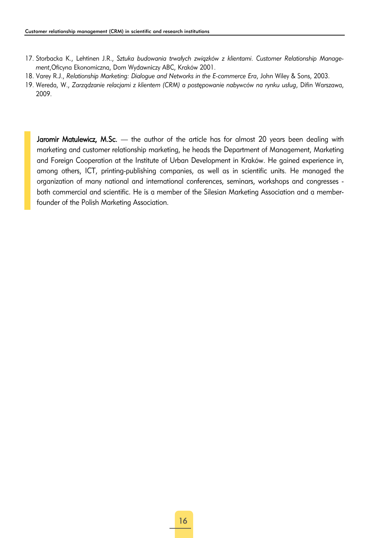- 17. Storbacka K., Lehtinen J.R., *Sztuka budowania trwałych związków z klientami. Customer Relationship Management*,Oficyna Ekonomiczna, Dom Wydawniczy ABC, Kraków 2001.
- 18. Varey R.J., *Relationship Marketing: Dialogue and Networks in the E-commerce Era*, John Wiley & Sons, 2003.
- 19. Wereda, W., *Zarządzanie relacjami z klientem (CRM) a postępowanie nabywców na rynku usług*, Difin Warszawa, 2009.

Jaromir Matulewicz, M.Sc. - the author of the article has for almost 20 years been dealing with marketing and customer relationship marketing, he heads the Department of Management, Marketing and Foreign Cooperation at the Institute of Urban Development in Kraków. He gained experience in, among others, ICT, printing-publishing companies, as well as in scientific units. He managed the organization of many national and international conferences, seminars, workshops and congresses both commercial and scientific. He is a member of the Silesian Marketing Association and a memberfounder of the Polish Marketing Association.